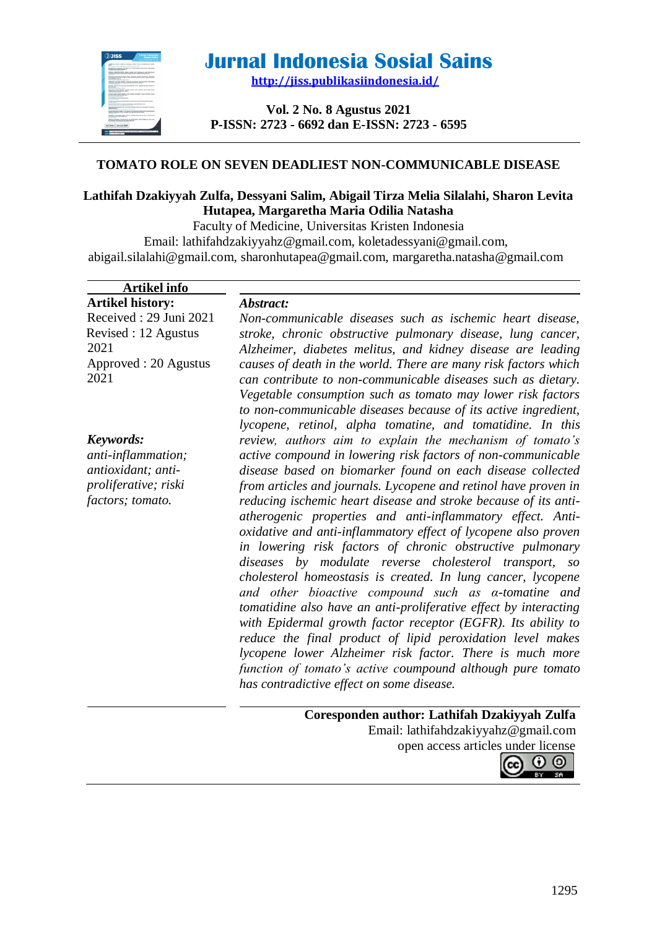

# **Jurnal Indonesia Sosial Sains**

**<http://jiss.publikasiindonesia.id/>**

**Vol. 2 No. 8 Agustus 2021 P-ISSN: 2723 - 6692 dan E-ISSN: 2723 - 6595**

# **TOMATO ROLE ON SEVEN DEADLIEST NON-COMMUNICABLE DISEASE**

# **Lathifah Dzakiyyah Zulfa, Dessyani Salim, Abigail Tirza Melia Silalahi, Sharon Levita Hutapea, Margaretha Maria Odilia Natasha**

Faculty of Medicine, Universitas Kristen Indonesia Email: [lathifahdzakiyyahz@gmail.com,](mailto:lathifahdzakiyyahz@gmail.com) [koletadessyani@gmail.com,](mailto:koletadessyani@gmail.com) [abigail.silalahi@gmail.com,](mailto:abigail.silalahi@gmail.com) [sharonhutapea@gmail.com,](mailto:sharonhutapea@gmail.com) [margaretha.natasha@gmail.com](mailto:margaretha.natasha@gmail.com)

| <b>Artikel info</b>     |                                                                                                         |
|-------------------------|---------------------------------------------------------------------------------------------------------|
| <b>Artikel history:</b> | Abstract:                                                                                               |
| Received: 29 Juni 2021  | Non-communicable diseases such as ischemic heart disease,                                               |
| Revised: 12 Agustus     | stroke, chronic obstructive pulmonary disease, lung cancer,                                             |
| 2021                    | Alzheimer, diabetes melitus, and kidney disease are leading                                             |
| Approved: 20 Agustus    | causes of death in the world. There are many risk factors which                                         |
| 2021                    | can contribute to non-communicable diseases such as dietary.                                            |
|                         | Vegetable consumption such as tomato may lower risk factors                                             |
|                         | to non-communicable diseases because of its active ingredient,                                          |
|                         | lycopene, retinol, alpha tomatine, and tomatidine. In this                                              |
| Keywords:               | review, authors aim to explain the mechanism of tomato's                                                |
| anti-inflammation;      | active compound in lowering risk factors of non-communicable                                            |
| antioxidant; anti-      | disease based on biomarker found on each disease collected                                              |
| proliferative; riski    | from articles and journals. Lycopene and retinol have proven in                                         |
| factors; tomato.        | reducing ischemic heart disease and stroke because of its anti-                                         |
|                         | atherogenic properties and anti-inflammatory effect. Anti-                                              |
|                         | oxidative and anti-inflammatory effect of lycopene also proven                                          |
|                         | in lowering risk factors of chronic obstructive pulmonary                                               |
|                         | diseases by modulate reverse cholesterol transport, so                                                  |
|                         | cholesterol homeostasis is created. In lung cancer, lycopene                                            |
|                         | and other bioactive compound such as $\alpha$ -tomatine and                                             |
|                         | tomatidine also have an anti-proliferative effect by interacting                                        |
|                         | with Epidermal growth factor receptor (EGFR). Its ability to                                            |
|                         | reduce the final product of lipid peroxidation level makes                                              |
|                         | lycopene lower Alzheimer risk factor. There is much more                                                |
|                         | function of tomato's active coumpound although pure tomato<br>has contradictive effect on some disease. |
|                         |                                                                                                         |
|                         | Coresponden author: Lathifah Dzakiyyah Zulfa                                                            |
|                         | Email: lathifahdzakiyyahz@gmail.com                                                                     |
|                         | open access articles under license                                                                      |
|                         | $\cap$ $\cap$                                                                                           |

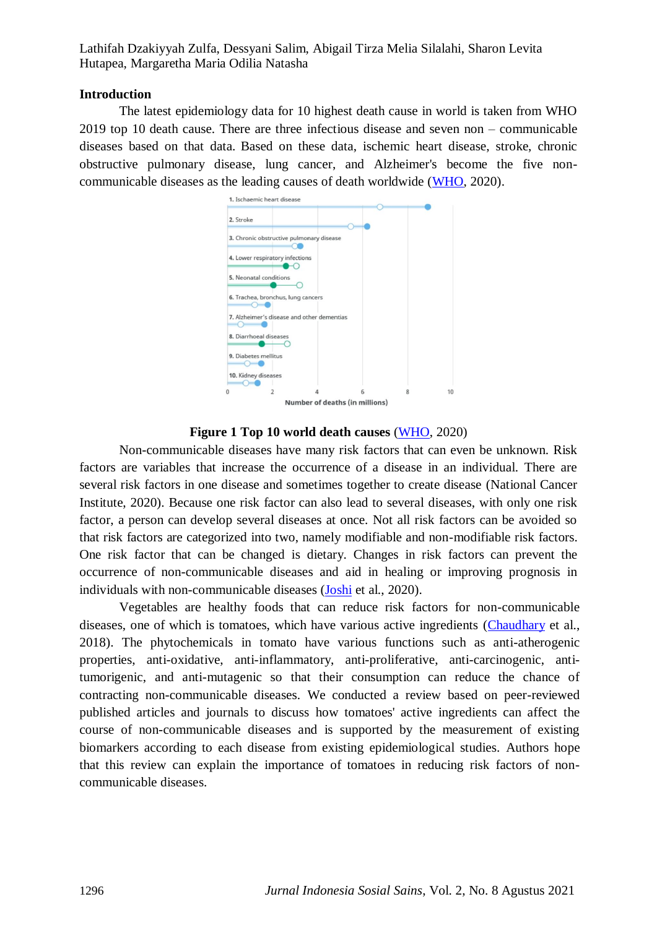## **Introduction**

The latest epidemiology data for 10 highest death cause in world is taken from WHO 2019 top 10 death cause. There are three infectious disease and seven non – communicable diseases based on that data. Based on these data, ischemic heart disease, stroke, chronic obstructive pulmonary disease, lung cancer, and Alzheimer's become the five noncommunicable diseases as the leading causes of death worldwide [\(WHO,](#page-13-0) 2020).

| 1. Ischaemic heart disease         |                |                                            |   |   |    |
|------------------------------------|----------------|--------------------------------------------|---|---|----|
| 2. Stroke                          |                |                                            |   |   |    |
|                                    |                | 3. Chronic obstructive pulmonary disease   |   |   |    |
| 4. Lower respiratory infections    |                |                                            |   |   |    |
| 5. Neonatal conditions             |                |                                            |   |   |    |
| 6. Trachea, bronchus, lung cancers |                |                                            |   |   |    |
|                                    |                | 7. Alzheimer's disease and other dementias |   |   |    |
| 8. Diarrhoeal diseases             |                |                                            |   |   |    |
| 9. Diabetes mellitus               |                |                                            |   |   |    |
| 10. Kidney diseases                |                |                                            |   |   |    |
| $\Omega$                           | $\overline{2}$ |                                            | 6 | 8 | 10 |
|                                    |                | Number of deaths (in millions)             |   |   |    |

## **Figure 1 Top 10 world death causes** [\(WHO,](#page-13-0) 2020)

Non-communicable diseases have many risk factors that can even be unknown. Risk factors are variables that increase the occurrence of a disease in an individual. There are several risk factors in one disease and sometimes together to create disease (National Cancer Institute, 2020). Because one risk factor can also lead to several diseases, with only one risk factor, a person can develop several diseases at once. Not all risk factors can be avoided so that risk factors are categorized into two, namely modifiable and non-modifiable risk factors. One risk factor that can be changed is dietary. Changes in risk factors can prevent the occurrence of non-communicable diseases and aid in healing or improving prognosis in individuals with non-communicable diseases [\(Joshi](#page-11-0) et al., 2020).

Vegetables are healthy foods that can reduce risk factors for non-communicable diseases, one of which is tomatoes, which have various active ingredients [\(Chaudhary](#page-10-0) et al., 2018). The phytochemicals in tomato have various functions such as anti-atherogenic properties, anti-oxidative, anti-inflammatory, anti-proliferative, anti-carcinogenic, antitumorigenic, and anti-mutagenic so that their consumption can reduce the chance of contracting non-communicable diseases. We conducted a review based on peer-reviewed published articles and journals to discuss how tomatoes' active ingredients can affect the course of non-communicable diseases and is supported by the measurement of existing biomarkers according to each disease from existing epidemiological studies. Authors hope that this review can explain the importance of tomatoes in reducing risk factors of noncommunicable diseases.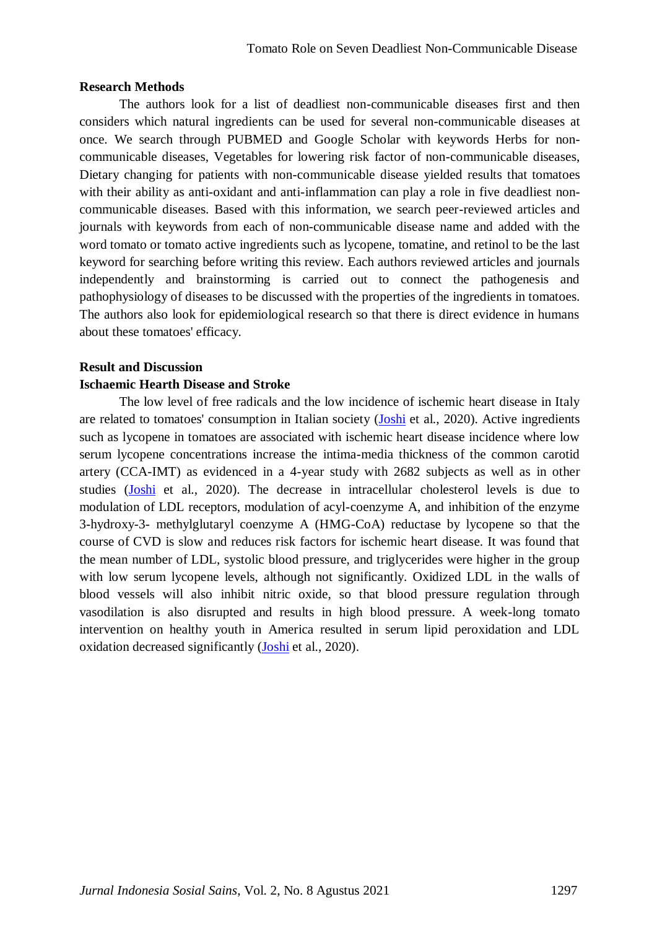## **Research Methods**

The authors look for a list of deadliest non-communicable diseases first and then considers which natural ingredients can be used for several non-communicable diseases at once. We search through PUBMED and Google Scholar with keywords Herbs for noncommunicable diseases, Vegetables for lowering risk factor of non-communicable diseases, Dietary changing for patients with non-communicable disease yielded results that tomatoes with their ability as anti-oxidant and anti-inflammation can play a role in five deadliest noncommunicable diseases. Based with this information, we search peer-reviewed articles and journals with keywords from each of non-communicable disease name and added with the word tomato or tomato active ingredients such as lycopene, tomatine, and retinol to be the last keyword for searching before writing this review. Each authors reviewed articles and journals independently and brainstorming is carried out to connect the pathogenesis and pathophysiology of diseases to be discussed with the properties of the ingredients in tomatoes. The authors also look for epidemiological research so that there is direct evidence in humans about these tomatoes' efficacy.

## **Result and Discussion**

#### **Ischaemic Hearth Disease and Stroke**

The low level of free radicals and the low incidence of ischemic heart disease in Italy are related to tomatoes' consumption in Italian society [\(Joshi](#page-11-0) et al., 2020). Active ingredients such as lycopene in tomatoes are associated with ischemic heart disease incidence where low serum lycopene concentrations increase the intima-media thickness of the common carotid artery (CCA-IMT) as evidenced in a 4-year study with 2682 subjects as well as in other studies [\(Joshi](#page-11-0) et al., 2020). The decrease in intracellular cholesterol levels is due to modulation of LDL receptors, modulation of acyl-coenzyme A, and inhibition of the enzyme 3-hydroxy-3- methylglutaryl coenzyme A (HMG-CoA) reductase by lycopene so that the course of CVD is slow and reduces risk factors for ischemic heart disease. It was found that the mean number of LDL, systolic blood pressure, and triglycerides were higher in the group with low serum lycopene levels, although not significantly. Oxidized LDL in the walls of blood vessels will also inhibit nitric oxide, so that blood pressure regulation through vasodilation is also disrupted and results in high blood pressure. A week-long tomato intervention on healthy youth in America resulted in serum lipid peroxidation and LDL oxidation decreased significantly [\(Joshi](#page-11-0) et al., 2020).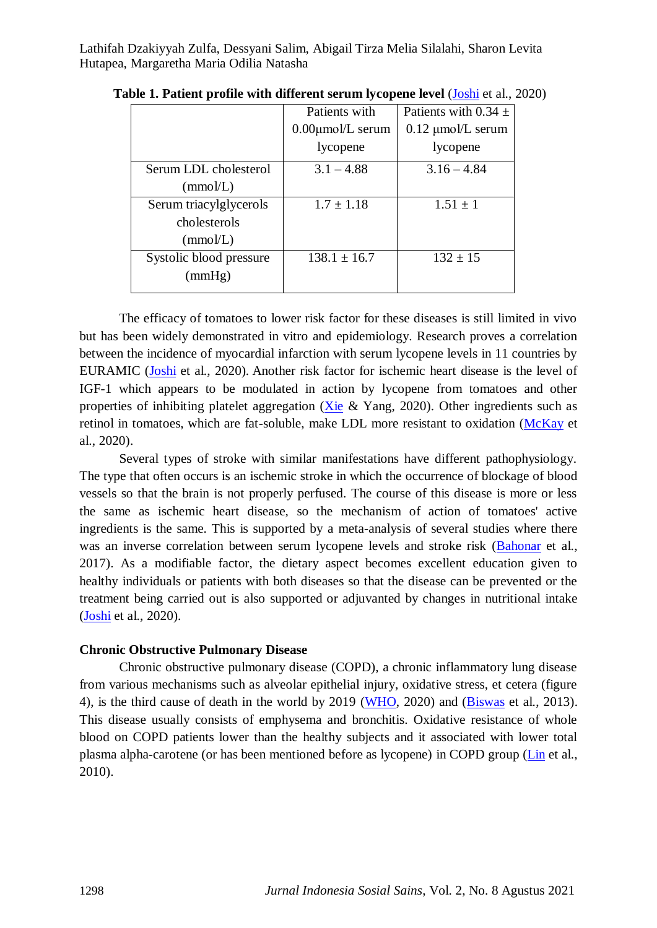|                         | Patients with          | Patients with $0.34 \pm$ |
|-------------------------|------------------------|--------------------------|
|                         | $0.00 \mu m o/L$ serum | $0.12 \mu m o/L$ serum   |
|                         | lycopene               | lycopene                 |
| Serum LDL cholesterol   | $3.1 - 4.88$           | $3.16 - 4.84$            |
| (mmol/L)                |                        |                          |
| Serum triacylglycerols  | $1.7 \pm 1.18$         | $1.51 \pm 1$             |
| cholesterols            |                        |                          |
| (mmol/L)                |                        |                          |
| Systolic blood pressure | $138.1 \pm 16.7$       | $132 \pm 15$             |
| (mmHg)                  |                        |                          |
|                         |                        |                          |

**Table 1. Patient profile with different serum lycopene level (***Joshi et al., 2020***)** 

The efficacy of tomatoes to lower risk factor for these diseases is still limited in vivo but has been widely demonstrated in vitro and epidemiology. Research proves a correlation between the incidence of myocardial infarction with serum lycopene levels in 11 countries by EURAMIC [\(Joshi](#page-11-0) et al., 2020). Another risk factor for ischemic heart disease is the level of IGF-1 which appears to be modulated in action by lycopene from tomatoes and other properties of inhibiting platelet aggregation ( $Xie \& Yang$ , 2020). Other ingredients such as retinol in tomatoes, which are fat-soluble, make LDL more resistant to oxidation [\(McKay](#page-12-0) et al., 2020).

Several types of stroke with similar manifestations have different pathophysiology. The type that often occurs is an ischemic stroke in which the occurrence of blockage of blood vessels so that the brain is not properly perfused. The course of this disease is more or less the same as ischemic heart disease, so the mechanism of action of tomatoes' active ingredients is the same. This is supported by a meta-analysis of several studies where there was an inverse correlation between serum lycopene levels and stroke risk [\(Bahonar](#page-10-1) et al., 2017). As a modifiable factor, the dietary aspect becomes excellent education given to healthy individuals or patients with both diseases so that the disease can be prevented or the treatment being carried out is also supported or adjuvanted by changes in nutritional intake [\(Joshi](#page-11-0) et al., 2020).

#### **Chronic Obstructive Pulmonary Disease**

Chronic obstructive pulmonary disease (COPD), a chronic inflammatory lung disease from various mechanisms such as alveolar epithelial injury, oxidative stress, et cetera (figure 4), is the third cause of death in the world by 2019 [\(WHO,](#page-13-0) 2020) and [\(Biswas](#page-10-2) et al., 2013). This disease usually consists of emphysema and bronchitis. Oxidative resistance of whole blood on COPD patients lower than the healthy subjects and it associated with lower total plasma alpha-carotene (or has been mentioned before as lycopene) in COPD group [\(Lin](#page-11-1) et al., 2010).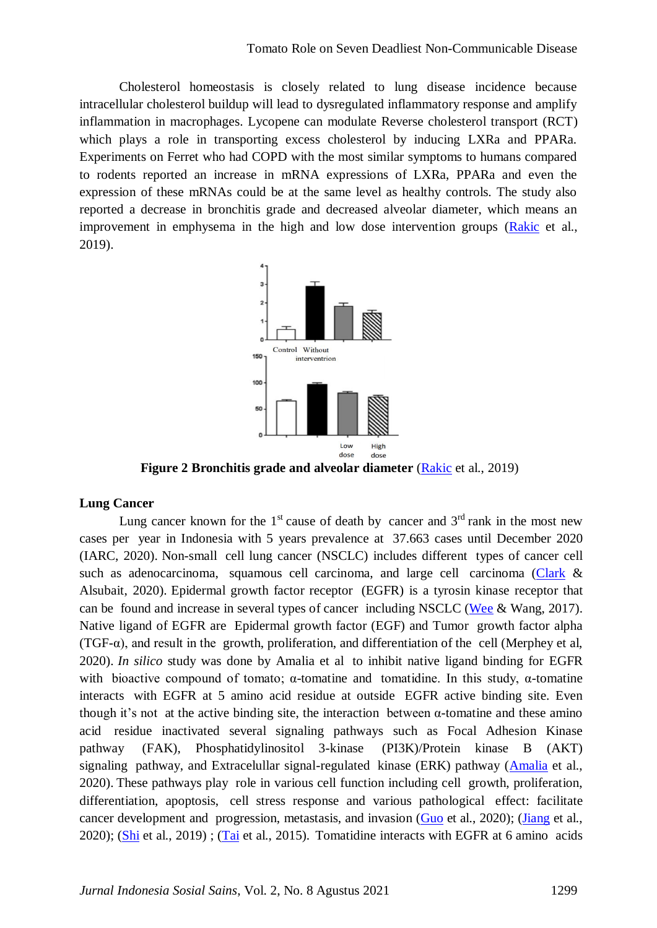Cholesterol homeostasis is closely related to lung disease incidence because intracellular cholesterol buildup will lead to dysregulated inflammatory response and amplify inflammation in macrophages. Lycopene can modulate Reverse cholesterol transport (RCT) which plays a role in transporting excess cholesterol by inducing LXRa and PPARa. Experiments on Ferret who had COPD with the most similar symptoms to humans compared to rodents reported an increase in mRNA expressions of LXRa, PPARa and even the expression of these mRNAs could be at the same level as healthy controls. The study also reported a decrease in bronchitis grade and decreased alveolar diameter, which means an improvement in emphysema in the high and low dose intervention groups [\(Rakic](#page-12-1) et al., 2019).



**Figure 2 Bronchitis grade and alveolar diameter [\(Rakic](#page-12-1) et al., 2019)** 

#### **Lung Cancer**

Lung cancer known for the  $1<sup>st</sup>$  cause of death by cancer and  $3<sup>rd</sup>$  rank in the most new cases per year in Indonesia with 5 years prevalence at 37.663 cases until December 2020 (IARC, 2020). Non-small cell lung cancer (NSCLC) includes different types of cancer cell such as adenocarcinoma, squamous cell carcinoma, and large cell carcinoma [\(Clark](#page-11-2) & Alsubait, 2020). Epidermal growth factor receptor (EGFR) is a tyrosin kinase receptor that can be found and increase in several types of cancer including NSCLC [\(Wee](#page-13-2) & Wang, 2017). Native ligand of EGFR are Epidermal growth factor (EGF) and Tumor growth factor alpha  $(TGF- $\alpha$ ), and result in the growth, proliferation, and differentiation of the cell (Merphey et al,$ 2020). *In silico* study was done by Amalia et al to inhibit native ligand binding for EGFR with bioactive compound of tomato;  $\alpha$ -tomatine and tomatidine. In this study,  $\alpha$ -tomatine interacts with EGFR at 5 amino acid residue at outside EGFR active binding site. Even though it's not at the active binding site, the interaction between  $\alpha$ -tomatine and these amino acid residue inactivated several signaling pathways such as Focal Adhesion Kinase pathway (FAK), Phosphatidylinositol 3-kinase (PI3K)/Protein kinase B (AKT) signaling pathway, and Extracelullar signal-regulated kinase (ERK) pathway [\(Amalia](#page-10-3) et al., 2020). These pathways play role in various cell function including cell growth, proliferation, differentiation, apoptosis, cell stress response and various pathological effect: facilitate cancer development and progression, metastasis, and invasion [\(Guo](#page-11-3) et al., 2020); [\(Jiang](#page-11-4) et al., 2020); [\(Shi](#page-12-2) et al., 2019) ; [\(Tai](#page-12-3) et al., 2015). Tomatidine interacts with EGFR at 6 amino acids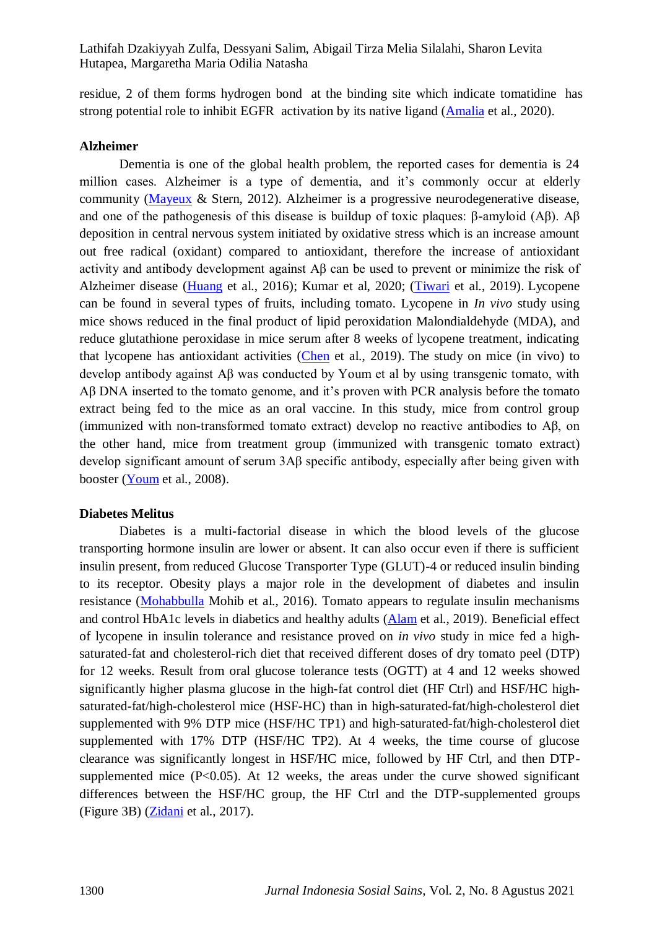residue, 2 of them forms hydrogen bond at the binding site which indicate tomatidine has strong potential role to inhibit EGFR activation by its native ligand [\(Amalia](#page-10-3) et al., 2020).

#### **Alzheimer**

Dementia is one of the global health problem, the reported cases for dementia is 24 million cases. Alzheimer is a type of dementia, and it's commonly occur at elderly community [\(Mayeux](#page-11-5) & Stern, 2012). Alzheimer is a progressive neurodegenerative disease, and one of the pathogenesis of this disease is buildup of toxic plaques: β-amyloid (Aβ). Aβ deposition in central nervous system initiated by oxidative stress which is an increase amount out free radical (oxidant) compared to antioxidant, therefore the increase of antioxidant activity and antibody development against Aβ can be used to prevent or minimize the risk of Alzheimer disease [\(Huang](#page-11-6) et al., 2016); Kumar et al, 2020; [\(Tiwari](#page-13-3) et al., 2019). Lycopene can be found in several types of fruits, including tomato. Lycopene in *In vivo* study using mice shows reduced in the final product of lipid peroxidation Malondialdehyde (MDA), and reduce glutathione peroxidase in mice serum after 8 weeks of lycopene treatment, indicating that lycopene has antioxidant activities [\(Chen](#page-11-7) et al., 2019). The study on mice (in vivo) to develop antibody against Aβ was conducted by Youm et al by using transgenic tomato, with Aβ DNA inserted to the tomato genome, and it's proven with PCR analysis before the tomato extract being fed to the mice as an oral vaccine. In this study, mice from control group (immunized with non-transformed tomato extract) develop no reactive antibodies to Aβ, on the other hand, mice from treatment group (immunized with transgenic tomato extract) develop significant amount of serum 3Aβ specific antibody, especially after being given with booster [\(Youm](#page-13-4) et al., 2008).

#### **Diabetes Melitus**

Diabetes is a multi-factorial disease in which the blood levels of the glucose transporting hormone insulin are lower or absent. It can also occur even if there is sufficient insulin present, from reduced Glucose Transporter Type (GLUT)-4 or reduced insulin binding to its receptor. Obesity plays a major role in the development of diabetes and insulin resistance [\(Mohabbulla](#page-12-4) Mohib et al., 2016). Tomato appears to regulate insulin mechanisms and control HbA1c levels in diabetics and healthy adults [\(Alam](#page-10-4) et al., 2019). Beneficial effect of lycopene in insulin tolerance and resistance proved on *in vivo* study in mice fed a highsaturated-fat and cholesterol-rich diet that received different doses of dry tomato peel (DTP) for 12 weeks. Result from oral glucose tolerance tests (OGTT) at 4 and 12 weeks showed significantly higher plasma glucose in the high-fat control diet (HF Ctrl) and HSF/HC highsaturated-fat/high-cholesterol mice (HSF-HC) than in high-saturated-fat/high-cholesterol diet supplemented with 9% DTP mice (HSF/HC TP1) and high-saturated-fat/high-cholesterol diet supplemented with 17% DTP (HSF/HC TP2). At 4 weeks, the time course of glucose clearance was significantly longest in HSF/HC mice, followed by HF Ctrl, and then DTPsupplemented mice (P<0.05). At 12 weeks, the areas under the curve showed significant differences between the HSF/HC group, the HF Ctrl and the DTP-supplemented groups (Figure 3B) [\(Zidani](#page-13-5) et al., 2017).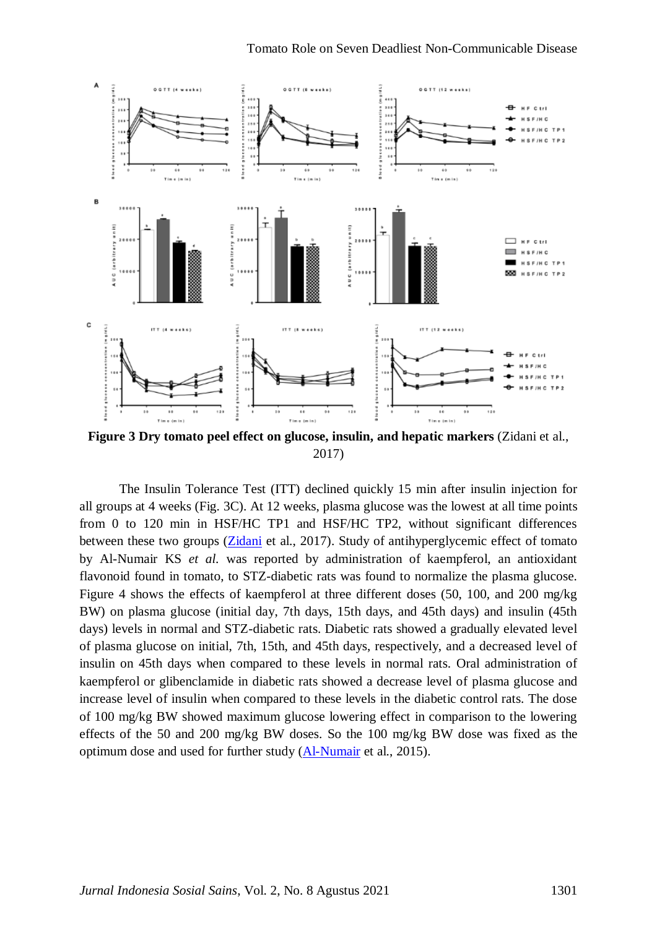

**Figure 3 Dry tomato peel effect on glucose, insulin, and hepatic markers** (Zidani et al., 2017)

The Insulin Tolerance Test (ITT) declined quickly 15 min after insulin injection for all groups at 4 weeks (Fig. 3C). At 12 weeks, plasma glucose was the lowest at all time points from 0 to 120 min in HSF/HC TP1 and HSF/HC TP2, without significant differences between these two groups [\(Zidani](#page-13-5) et al., 2017). Study of antihyperglycemic effect of tomato by Al-Numair KS *et al.* was reported by administration of kaempferol, an antioxidant flavonoid found in tomato, to STZ-diabetic rats was found to normalize the plasma glucose. Figure 4 shows the effects of kaempferol at three different doses (50, 100, and 200 mg/kg BW) on plasma glucose (initial day, 7th days, 15th days, and 45th days) and insulin (45th days) levels in normal and STZ-diabetic rats. Diabetic rats showed a gradually elevated level of plasma glucose on initial, 7th, 15th, and 45th days, respectively, and a decreased level of insulin on 45th days when compared to these levels in normal rats. Oral administration of kaempferol or glibenclamide in diabetic rats showed a decrease level of plasma glucose and increase level of insulin when compared to these levels in the diabetic control rats. The dose of 100 mg/kg BW showed maximum glucose lowering effect in comparison to the lowering effects of the 50 and 200 mg/kg BW doses. So the 100 mg/kg BW dose was fixed as the optimum dose and used for further study [\(Al-Numair](#page-10-5) et al., 2015).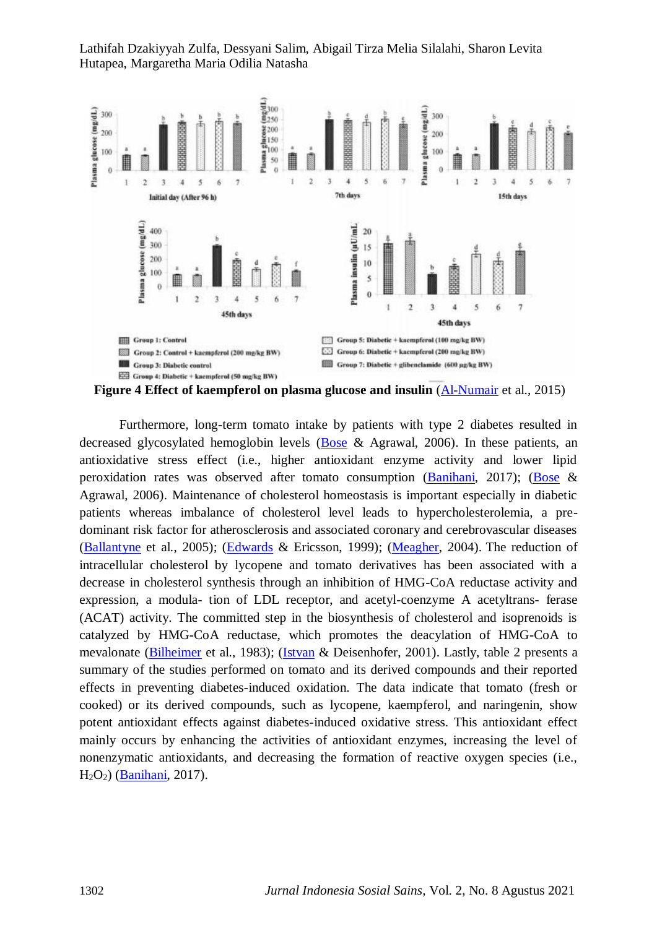

Furthermore, long-term tomato intake by patients with type 2 diabetes resulted in decreased glycosylated hemoglobin levels [\(Bose](#page-10-6) & Agrawal, 2006). In these patients, an antioxidative stress effect (i.e., higher antioxidant enzyme activity and lower lipid peroxidation rates was observed after tomato consumption [\(Banihani,](#page-10-7) 2017); [\(Bose](#page-10-6) & Agrawal, 2006). Maintenance of cholesterol homeostasis is important especially in diabetic patients whereas imbalance of cholesterol level leads to hypercholesterolemia, a predominant risk factor for atherosclerosis and associated coronary and cerebrovascular diseases [\(Ballantyne](#page-10-8) et al., 2005); [\(Edwards](#page-11-8) & Ericsson, 1999); [\(Meagher,](#page-12-5) 2004). The reduction of intracellular cholesterol by lycopene and tomato derivatives has been associated with a decrease in cholesterol synthesis through an inhibition of HMG-CoA reductase activity and expression, a modula- tion of LDL receptor, and acetyl-coenzyme A acetyltrans- ferase (ACAT) activity. The committed step in the biosynthesis of cholesterol and isoprenoids is catalyzed by HMG-CoA reductase, which promotes the deacylation of HMG-CoA to mevalonate [\(Bilheimer](#page-10-9) et al., 1983); [\(Istvan](#page-11-9) & Deisenhofer, 2001). Lastly, table 2 presents a summary of the studies performed on tomato and its derived compounds and their reported effects in preventing diabetes-induced oxidation. The data indicate that tomato (fresh or cooked) or its derived compounds, such as lycopene, kaempferol, and naringenin, show potent antioxidant effects against diabetes-induced oxidative stress. This antioxidant effect mainly occurs by enhancing the activities of antioxidant enzymes, increasing the level of nonenzymatic antioxidants, and decreasing the formation of reactive oxygen species (i.e., H2O2) [\(Banihani,](#page-10-7) 2017).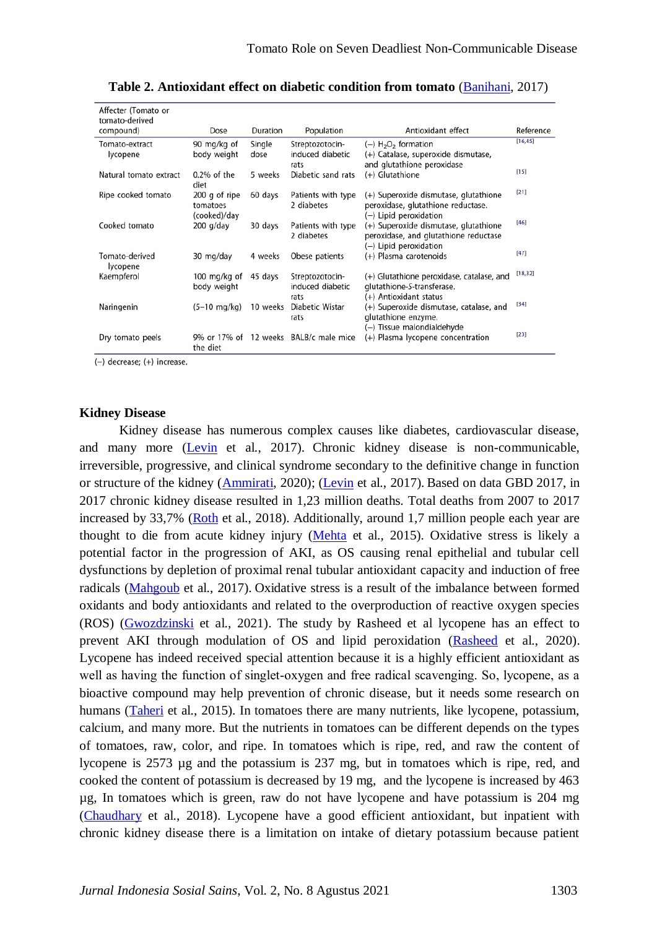| Affecter (Tomato or<br>tomato-derived |                                           |                |                                             |                                                                                                          |           |
|---------------------------------------|-------------------------------------------|----------------|---------------------------------------------|----------------------------------------------------------------------------------------------------------|-----------|
| compound)                             | Dose                                      | Duration       | Population                                  | Antioxidant effect                                                                                       | Reference |
| Tomato-extract<br>lycopene            | 90 mg/kg of<br>body weight                | Single<br>dose | Streptozotocin-<br>induced diabetic         | $(-)$ H <sub>2</sub> O <sub>2</sub> formation<br>(+) Catalase, superoxide dismutase,                     | [16, 45]  |
| Natural tomato extract                | $0.2\%$ of the<br>diet                    | 5 weeks        | rats<br>Diabetic sand rats                  | and glutathione peroxidase<br>(+) Glutathione                                                            | [15]      |
| Ripe cooked tomato                    | 200 g of ripe<br>tomatoes<br>(cooked)/day | 60 days        | Patients with type<br>2 diabetes            | (+) Superoxide dismutase, glutathione<br>peroxidase, glutathione reductase.<br>(-) Lipid peroxidation    | [21]      |
| Cooked tomato                         | 200 g/day                                 | 30 days        | Patients with type<br>2 diabetes            | (+) Superoxide dismutase, glutathione<br>peroxidase, and glutathione reductase<br>(-) Lipid peroxidation | [46]      |
| Tomato-derived<br>lycopene            | 30 mg/day                                 | 4 weeks        | Obese patients                              | (+) Plasma carotenoids                                                                                   | [47]      |
| Kaempferol                            | 100 mg/kg of<br>body weight               | 45 days        | Streptozotocin-<br>induced diabetic<br>rats | (+) Glutathione peroxidase, catalase, and<br>glutathione-S-transferase.<br>(+) Antioxidant status        | [18, 32]  |
| Naringenin                            | (5–10 mg/kg)                              | 10 weeks       | Diabetic Wistar<br>rats                     | (+) Superoxide dismutase, catalase, and<br>glutathione enzyme.<br>(-) Tissue malondialdehyde             | $[34]$    |
| Dry tomato peels                      | the diet                                  |                | 9% or 17% of 12 weeks BALB/c male mice      | (+) Plasma lycopene concentration                                                                        | [23]      |

**Table 2. Antioxidant effect on diabetic condition from tomato** [\(Banihani,](#page-10-7) 2017)

(-) decrease; (+) increase.

#### **Kidney Disease**

Kidney disease has numerous complex causes like diabetes, cardiovascular disease, and many more [\(Levin](#page-11-10) et al., 2017). Chronic kidney disease is non-communicable, irreversible, progressive, and clinical syndrome secondary to the definitive change in function or structure of the kidney [\(Ammirati,](#page-10-10) 2020); [\(Levin](#page-11-10) et al., 2017). Based on data GBD 2017, in 2017 chronic kidney disease resulted in 1,23 million deaths. Total deaths from 2007 to 2017 increased by 33,7% [\(Roth](#page-12-6) et al., 2018). Additionally, around 1,7 million people each year are thought to die from acute kidney injury [\(Mehta](#page-12-7) et al., 2015). Oxidative stress is likely a potential factor in the progression of AKI, as OS causing renal epithelial and tubular cell dysfunctions by depletion of proximal renal tubular antioxidant capacity and induction of free radicals [\(Mahgoub](#page-11-11) et al., 2017). Oxidative stress is a result of the imbalance between formed oxidants and body antioxidants and related to the overproduction of reactive oxygen species (ROS) [\(Gwozdzinski](#page-11-12) et al., 2021). The study by Rasheed et al lycopene has an effect to prevent AKI through modulation of OS and lipid peroxidation [\(Rasheed](#page-12-8) et al., 2020). Lycopene has indeed received special attention because it is a highly efficient antioxidant as well as having the function of singlet-oxygen and free radical scavenging. So, lycopene, as a bioactive compound may help prevention of chronic disease, but it needs some research on humans [\(Taheri](#page-12-9) et al., 2015). In tomatoes there are many nutrients, like lycopene, potassium, calcium, and many more. But the nutrients in tomatoes can be different depends on the types of tomatoes, raw, color, and ripe. In tomatoes which is ripe, red, and raw the content of lycopene is 2573 µg and the potassium is 237 mg, but in tomatoes which is ripe, red, and cooked the content of potassium is decreased by 19 mg, and the lycopene is increased by 463 µg, In tomatoes which is green, raw do not have lycopene and have potassium is 204 mg [\(Chaudhary](#page-10-0) et al., 2018). Lycopene have a good efficient antioxidant, but inpatient with chronic kidney disease there is a limitation on intake of dietary potassium because patient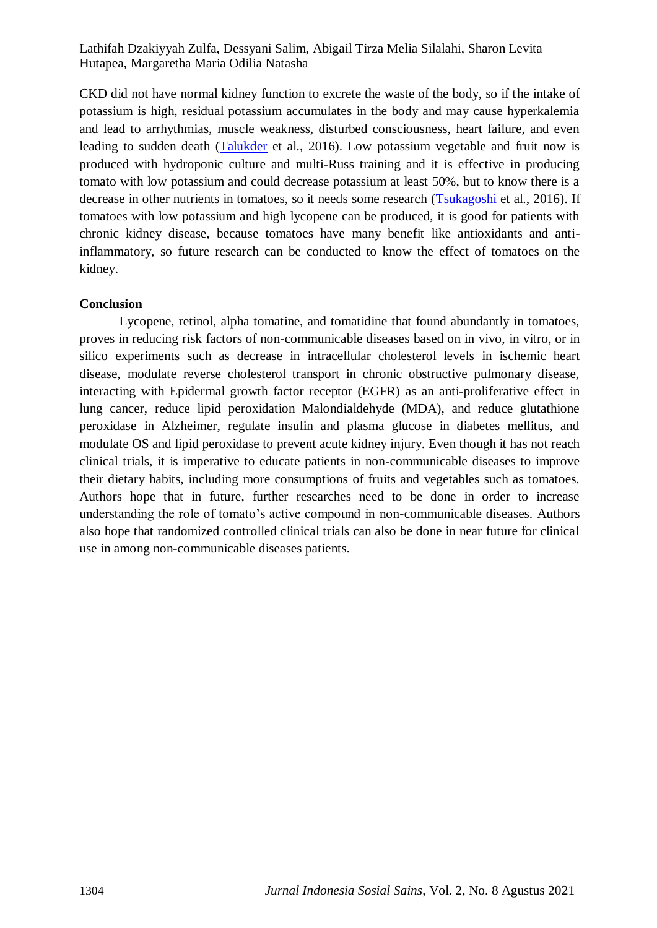CKD did not have normal kidney function to excrete the waste of the body, so if the intake of potassium is high, residual potassium accumulates in the body and may cause hyperkalemia and lead to arrhythmias, muscle weakness, disturbed consciousness, heart failure, and even leading to sudden death [\(Talukder](#page-13-6) et al., 2016). Low potassium vegetable and fruit now is produced with hydroponic culture and multi-Russ training and it is effective in producing tomato with low potassium and could decrease potassium at least 50%, but to know there is a decrease in other nutrients in tomatoes, so it needs some research [\(Tsukagoshi](#page-13-7) et al., 2016). If tomatoes with low potassium and high lycopene can be produced, it is good for patients with chronic kidney disease, because tomatoes have many benefit like antioxidants and antiinflammatory, so future research can be conducted to know the effect of tomatoes on the kidney.

## **Conclusion**

Lycopene, retinol, alpha tomatine, and tomatidine that found abundantly in tomatoes, proves in reducing risk factors of non-communicable diseases based on in vivo, in vitro, or in silico experiments such as decrease in intracellular cholesterol levels in ischemic heart disease, modulate reverse cholesterol transport in chronic obstructive pulmonary disease, interacting with Epidermal growth factor receptor (EGFR) as an anti-proliferative effect in lung cancer, reduce lipid peroxidation Malondialdehyde (MDA), and reduce glutathione peroxidase in Alzheimer, regulate insulin and plasma glucose in diabetes mellitus, and modulate OS and lipid peroxidase to prevent acute kidney injury. Even though it has not reach clinical trials, it is imperative to educate patients in non-communicable diseases to improve their dietary habits, including more consumptions of fruits and vegetables such as tomatoes. Authors hope that in future, further researches need to be done in order to increase understanding the role of tomato's active compound in non-communicable diseases. Authors also hope that randomized controlled clinical trials can also be done in near future for clinical use in among non-communicable diseases patients.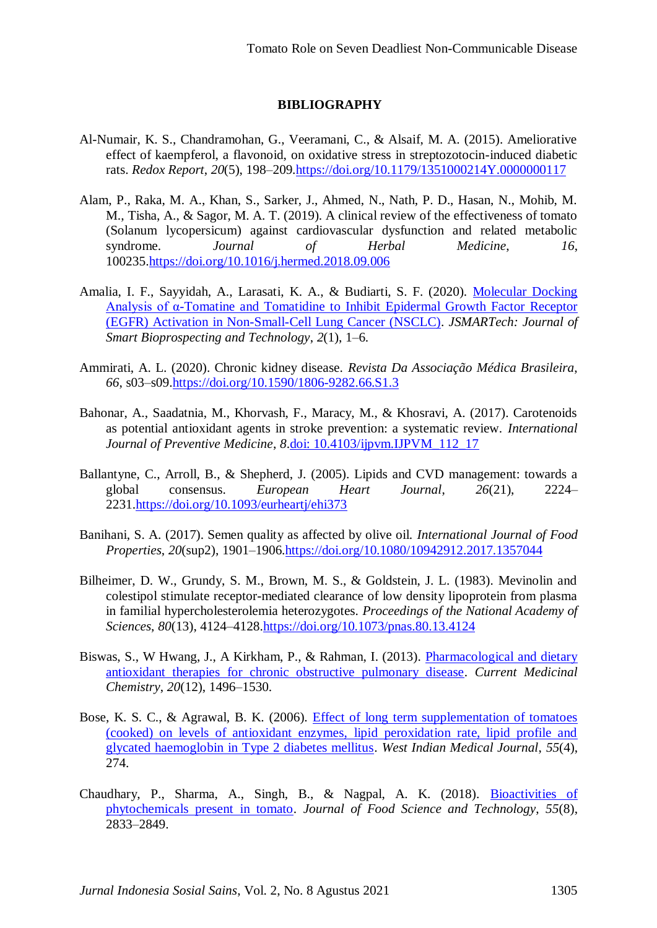# **BIBLIOGRAPHY**

- <span id="page-10-5"></span>Al-Numair, K. S., Chandramohan, G., Veeramani, C., & Alsaif, M. A. (2015). Ameliorative effect of kaempferol, a flavonoid, on oxidative stress in streptozotocin-induced diabetic rats. *Redox Report*, *20*(5), 198–209[.https://doi.org/10.1179/1351000214Y.0000000117](https://doi.org/10.1179/1351000214Y.0000000117)
- <span id="page-10-4"></span>Alam, P., Raka, M. A., Khan, S., Sarker, J., Ahmed, N., Nath, P. D., Hasan, N., Mohib, M. M., Tisha, A., & Sagor, M. A. T. (2019). A clinical review of the effectiveness of tomato (Solanum lycopersicum) against cardiovascular dysfunction and related metabolic syndrome. *Journal of Herbal Medicine*, *16*, 100235[.https://doi.org/10.1016/j.hermed.2018.09.006](https://doi.org/10.1016/j.hermed.2018.09.006)
- <span id="page-10-3"></span>Amalia, I. F., Sayyidah, A., Larasati, K. A., & Budiarti, S. F. (2020). [Molecular Docking](https://scholar.google.com/scholar?hl=id&as_sdt=0%2C5&q=Amalia%2C+I.+F.%2C+Sayyidah%2C+A.%2C+Larasati%2C+K.+A.%2C+%26+Budiarti%2C+S.+F.+%282020%29.+Molecular+Docking+Analysis+of+%CE%B1-Tomatine+and+Tomatidine+to+Inhibit+Epidermal+Growth+Factor+Receptor+%28EGFR%29+Activation+in+Non-Small-Cell+Lung+Cancer+%28NSCLC%29.+JSMARTech%3A+Journal+of+Smart+Bioprospecting+and+Technology%2C+2%281%29%2C+1%E2%80%936.&btnG=)  [Analysis of α-Tomatine and Tomatidine to Inhibit Epidermal Growth Factor Receptor](https://scholar.google.com/scholar?hl=id&as_sdt=0%2C5&q=Amalia%2C+I.+F.%2C+Sayyidah%2C+A.%2C+Larasati%2C+K.+A.%2C+%26+Budiarti%2C+S.+F.+%282020%29.+Molecular+Docking+Analysis+of+%CE%B1-Tomatine+and+Tomatidine+to+Inhibit+Epidermal+Growth+Factor+Receptor+%28EGFR%29+Activation+in+Non-Small-Cell+Lung+Cancer+%28NSCLC%29.+JSMARTech%3A+Journal+of+Smart+Bioprospecting+and+Technology%2C+2%281%29%2C+1%E2%80%936.&btnG=)  [\(EGFR\) Activation in Non-Small-Cell Lung Cancer \(NSCLC\).](https://scholar.google.com/scholar?hl=id&as_sdt=0%2C5&q=Amalia%2C+I.+F.%2C+Sayyidah%2C+A.%2C+Larasati%2C+K.+A.%2C+%26+Budiarti%2C+S.+F.+%282020%29.+Molecular+Docking+Analysis+of+%CE%B1-Tomatine+and+Tomatidine+to+Inhibit+Epidermal+Growth+Factor+Receptor+%28EGFR%29+Activation+in+Non-Small-Cell+Lung+Cancer+%28NSCLC%29.+JSMARTech%3A+Journal+of+Smart+Bioprospecting+and+Technology%2C+2%281%29%2C+1%E2%80%936.&btnG=) *JSMARTech: Journal of Smart Bioprospecting and Technology*, *2*(1), 1–6.
- <span id="page-10-10"></span>Ammirati, A. L. (2020). Chronic kidney disease. *Revista Da Associação Médica Brasileira*, *66*, s03–s09[.https://doi.org/10.1590/1806-9282.66.S1.3](https://doi.org/10.1590/1806-9282.66.S1.3)
- <span id="page-10-1"></span>Bahonar, A., Saadatnia, M., Khorvash, F., Maracy, M., & Khosravi, A. (2017). Carotenoids as potential antioxidant agents in stroke prevention: a systematic review. *International Journal of Preventive Medicine*, *8*[.doi: 10.4103/ijpvm.IJPVM\\_112\\_17](doi:%2010.4103/ijpvm.IJPVM_112_17)
- <span id="page-10-8"></span>Ballantyne, C., Arroll, B., & Shepherd, J. (2005). Lipids and CVD management: towards a global consensus. *European Heart Journal*, *26*(21), 2224– 2231[.https://doi.org/10.1093/eurheartj/ehi373](https://doi.org/10.1093/eurheartj/ehi373)
- <span id="page-10-7"></span>Banihani, S. A. (2017). Semen quality as affected by olive oil. *International Journal of Food Properties*, *20*(sup2), 1901–1906[.https://doi.org/10.1080/10942912.2017.1357044](https://doi.org/10.1080/10942912.2017.1357044)
- <span id="page-10-9"></span>Bilheimer, D. W., Grundy, S. M., Brown, M. S., & Goldstein, J. L. (1983). Mevinolin and colestipol stimulate receptor-mediated clearance of low density lipoprotein from plasma in familial hypercholesterolemia heterozygotes. *Proceedings of the National Academy of Sciences*, *80*(13), 4124–4128[.https://doi.org/10.1073/pnas.80.13.4124](https://doi.org/10.1073/pnas.80.13.4124)
- <span id="page-10-2"></span>Biswas, S., W Hwang, J., A Kirkham, P., & Rahman, I. (2013). [Pharmacological and dietary](https://scholar.google.com/scholar?hl=id&as_sdt=0%2C5&q=+Biswas%2C+S.%2C+W+Hwang%2C+J.%2C+A+Kirkham%2C+P.%2C+%26+Rahman%2C+I.+%282013%29.+Pharmacological+and+dietary+antioxidant+therapies+for+chronic+obstructive+pulmonary+disease.+Current+Medicinal+Chemistry%2C+20%2812%29%2C+1496%E2%80%931530.&btnG=)  [antioxidant therapies for chronic obstructive pulmonary disease.](https://scholar.google.com/scholar?hl=id&as_sdt=0%2C5&q=+Biswas%2C+S.%2C+W+Hwang%2C+J.%2C+A+Kirkham%2C+P.%2C+%26+Rahman%2C+I.+%282013%29.+Pharmacological+and+dietary+antioxidant+therapies+for+chronic+obstructive+pulmonary+disease.+Current+Medicinal+Chemistry%2C+20%2812%29%2C+1496%E2%80%931530.&btnG=) *Current Medicinal Chemistry*, *20*(12), 1496–1530.
- <span id="page-10-6"></span>Bose, K. S. C., & Agrawal, B. K. (2006). [Effect of long term supplementation of tomatoes](https://scholar.google.com/scholar?hl=id&as_sdt=0%2C5&q=Bose%2C+K.+S.+C.%2C+%26+Agrawal%2C+B.+K.+%282006%29.+Effect+of+long+term+supplementation+of+tomatoes+%28cooked%29+on+levels+of+antioxidant+enzymes%2C+lipid+peroxidation+rate%2C+lipid+profile+and+glycated+haemoglobin+in+Type+2+diabetes+mellitus.+West+Indian+Medical+Journal%2C+55%284%29%2C+274.&btnG=)  [\(cooked\) on levels of antioxidant enzymes, lipid peroxidation rate, lipid profile and](https://scholar.google.com/scholar?hl=id&as_sdt=0%2C5&q=Bose%2C+K.+S.+C.%2C+%26+Agrawal%2C+B.+K.+%282006%29.+Effect+of+long+term+supplementation+of+tomatoes+%28cooked%29+on+levels+of+antioxidant+enzymes%2C+lipid+peroxidation+rate%2C+lipid+profile+and+glycated+haemoglobin+in+Type+2+diabetes+mellitus.+West+Indian+Medical+Journal%2C+55%284%29%2C+274.&btnG=)  glycated [haemoglobin in Type 2 diabetes mellitus.](https://scholar.google.com/scholar?hl=id&as_sdt=0%2C5&q=Bose%2C+K.+S.+C.%2C+%26+Agrawal%2C+B.+K.+%282006%29.+Effect+of+long+term+supplementation+of+tomatoes+%28cooked%29+on+levels+of+antioxidant+enzymes%2C+lipid+peroxidation+rate%2C+lipid+profile+and+glycated+haemoglobin+in+Type+2+diabetes+mellitus.+West+Indian+Medical+Journal%2C+55%284%29%2C+274.&btnG=) *West Indian Medical Journal*, *55*(4), 274.
- <span id="page-10-0"></span>Chaudhary, P., Sharma, A., Singh, B., & Nagpal, A. K. (2018). [Bioactivities of](https://scholar.google.com/scholar?hl=id&as_sdt=0%2C5&q=Chaudhary%2C+P.%2C+Sharma%2C+A.%2C+Singh%2C+B.%2C+%26+Nagpal%2C+A.+K.+%282018%29.+Bioactivities+of+phytochemicals+present+in+tomato.+Journal+of+Food+Science+and+Technology%2C+55%288%29%2C+2833%E2%80%932849.&btnG=)  [phytochemicals present in tomato.](https://scholar.google.com/scholar?hl=id&as_sdt=0%2C5&q=Chaudhary%2C+P.%2C+Sharma%2C+A.%2C+Singh%2C+B.%2C+%26+Nagpal%2C+A.+K.+%282018%29.+Bioactivities+of+phytochemicals+present+in+tomato.+Journal+of+Food+Science+and+Technology%2C+55%288%29%2C+2833%E2%80%932849.&btnG=) *Journal of Food Science and Technology*, *55*(8), 2833–2849.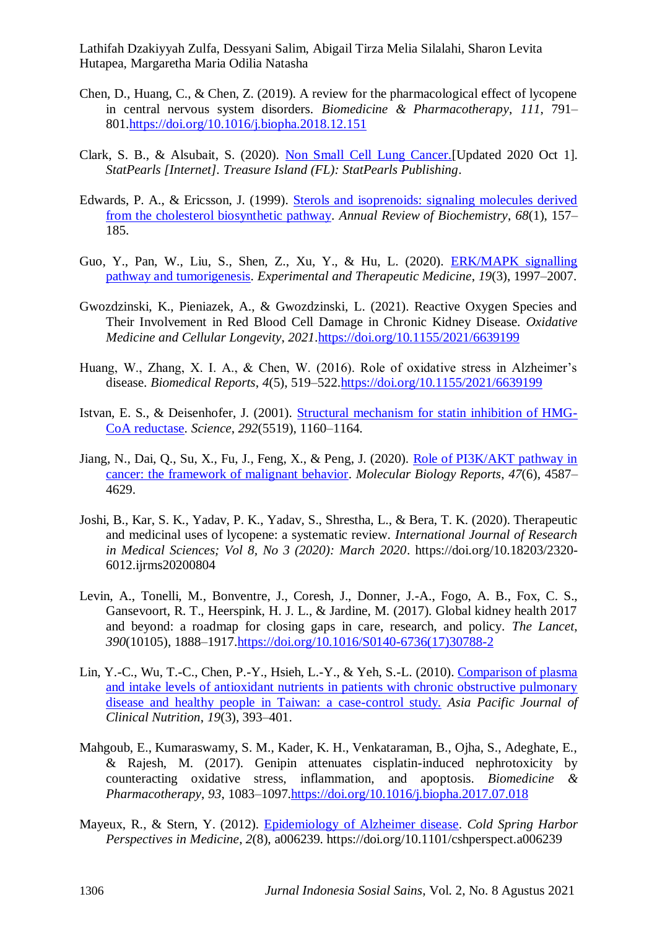- <span id="page-11-7"></span>Chen, D., Huang, C., & Chen, Z. (2019). A review for the pharmacological effect of lycopene in central nervous system disorders. *Biomedicine & Pharmacotherapy*, *111*, 791– 801[.https://doi.org/10.1016/j.biopha.2018.12.151](https://doi.org/10.1016/j.biopha.2018.12.151)
- <span id="page-11-2"></span>Clark, S. B., & Alsubait, S. (2020). [Non Small Cell Lung Cancer.\[](https://scholar.google.com/scholar?hl=id&as_sdt=0%2C5&q=Clark%2C+S.+B.%2C+%26+Alsubait%2C+S.+%282020%29.+Non+Small+Cell+Lung+Cancer.%5BUpdated+2020+Oct+1%5D.+StatPearls+%5BInternet%5D.+Treasure+Island+%28FL%29%3A+StatPearls+Publishing.&btnG=)Updated 2020 Oct 1]. *StatPearls [Internet]. Treasure Island (FL): StatPearls Publishing*.
- <span id="page-11-8"></span>Edwards, P. A., & Ericsson, J. (1999). [Sterols and isoprenoids: signaling molecules derived](https://scholar.google.com/scholar?hl=id&as_sdt=0%2C5&q=Edwards%2C+P.+A.%2C+%26+Ericsson%2C+J.+%281999%29.+Sterols+and+isoprenoids%3A+signaling+molecules+derived+from+the+cholesterol+biosynthetic+pathway.+Annual+Review+of+Biochemistry%2C+68%281%29%2C+157%E2%80%93185.&btnG=)  [from the cholesterol biosynthetic pathway.](https://scholar.google.com/scholar?hl=id&as_sdt=0%2C5&q=Edwards%2C+P.+A.%2C+%26+Ericsson%2C+J.+%281999%29.+Sterols+and+isoprenoids%3A+signaling+molecules+derived+from+the+cholesterol+biosynthetic+pathway.+Annual+Review+of+Biochemistry%2C+68%281%29%2C+157%E2%80%93185.&btnG=) *Annual Review of Biochemistry*, *68*(1), 157– 185.
- <span id="page-11-3"></span>Guo, Y., Pan, W., Liu, S., Shen, Z., Xu, Y., & Hu, L. (2020). [ERK/MAPK signalling](https://scholar.google.com/scholar?hl=id&as_sdt=0%2C5&q=Guo%2C+Y.%2C+Pan%2C+W.%2C+Liu%2C+S.%2C+Shen%2C+Z.%2C+Xu%2C+Y.%2C+%26+Hu%2C+L.+%282020%29.+ERK%2FMAPK+signalling+pathway+and+tumorigenesis.+Experimental+and+Therapeutic+Medicine%2C+19%283%29%2C+1997%E2%80%932007.&btnG=)  [pathway and tumorigenesis.](https://scholar.google.com/scholar?hl=id&as_sdt=0%2C5&q=Guo%2C+Y.%2C+Pan%2C+W.%2C+Liu%2C+S.%2C+Shen%2C+Z.%2C+Xu%2C+Y.%2C+%26+Hu%2C+L.+%282020%29.+ERK%2FMAPK+signalling+pathway+and+tumorigenesis.+Experimental+and+Therapeutic+Medicine%2C+19%283%29%2C+1997%E2%80%932007.&btnG=) *Experimental and Therapeutic Medicine*, *19*(3), 1997–2007.
- <span id="page-11-12"></span>Gwozdzinski, K., Pieniazek, A., & Gwozdzinski, L. (2021). Reactive Oxygen Species and Their Involvement in Red Blood Cell Damage in Chronic Kidney Disease. *Oxidative Medicine and Cellular Longevity*, *2021*[.https://doi.org/10.1155/2021/6639199](https://doi.org/10.1155/2021/6639199)
- <span id="page-11-6"></span>Huang, W., Zhang, X. I. A., & Chen, W. (2016). Role of oxidative stress in Alzheimer's disease. *Biomedical Reports*, *4*(5), 519–522[.https://doi.org/10.1155/2021/6639199](https://doi.org/10.1155/2021/6639199)
- <span id="page-11-9"></span>Istvan, E. S., & Deisenhofer, J. (2001). [Structural mechanism for statin inhibition of HMG-](https://scholar.google.com/scholar?hl=id&as_sdt=0%2C5&q=Istvan%2C+E.+S.%2C+%26+Deisenhofer%2C+J.+%282001%29.+Structural+mechanism+for+statin+inhibition+of+HMG-CoA+reductase.+Science%2C+292%285519%29%2C+1160%E2%80%931164.&btnG=)[CoA reductase.](https://scholar.google.com/scholar?hl=id&as_sdt=0%2C5&q=Istvan%2C+E.+S.%2C+%26+Deisenhofer%2C+J.+%282001%29.+Structural+mechanism+for+statin+inhibition+of+HMG-CoA+reductase.+Science%2C+292%285519%29%2C+1160%E2%80%931164.&btnG=) *Science*, *292*(5519), 1160–1164.
- <span id="page-11-4"></span>Jiang, N., Dai, Q., Su, X., Fu, J., Feng, X., & Peng, J. (2020). Role of PI3K/AKT pathway in [cancer: the framework of malignant behavior.](https://scholar.google.com/scholar?hl=id&as_sdt=0%2C5&q=Jiang%2C+N.%2C+Dai%2C+Q.%2C+Su%2C+X.%2C+Fu%2C+J.%2C+Feng%2C+X.%2C+%26+Peng%2C+J.+%282020%29.+Role+of+PI3K%2FAKT+pathway+in+cancer%3A+the+framework+of+malignant+behavior.+Molecular+Biology+Reports%2C+47%286%29%2C+4587%E2%80%934629.&btnG=) *Molecular Biology Reports*, *47*(6), 4587– 4629.
- <span id="page-11-0"></span>Joshi, B., Kar, S. K., Yadav, P. K., Yadav, S., Shrestha, L., & Bera, T. K. (2020). Therapeutic and medicinal uses of lycopene: a systematic review. *International Journal of Research in Medical Sciences; Vol 8, No 3 (2020): March 2020*. https://doi.org/10.18203/2320- 6012.ijrms20200804
- <span id="page-11-10"></span>Levin, A., Tonelli, M., Bonventre, J., Coresh, J., Donner, J.-A., Fogo, A. B., Fox, C. S., Gansevoort, R. T., Heerspink, H. J. L., & Jardine, M. (2017). Global kidney health 2017 and beyond: a roadmap for closing gaps in care, research, and policy. *The Lancet*, *390*(10105), 1888–1917[.https://doi.org/10.1016/S0140-6736\(17\)30788-2](https://doi.org/10.1016/S0140-6736(17)30788-2)
- <span id="page-11-1"></span>Lin, Y.-C., Wu, T.-C., Chen, P.-Y., Hsieh, L.-Y., & Yeh, S.-L. (2010). [Comparison of plasma](https://scholar.google.com/scholar?hl=id&as_sdt=0%2C5&q=Lin%2C+Y.-C.%2C+Wu%2C+T.-C.%2C+Chen%2C+P.-Y.%2C+Hsieh%2C+L.-Y.%2C+%26+Yeh%2C+S.-L.+%282010%29.+Comparison+of+plasma+and+intake+levels+of+antioxidant+nutrients+in+patients+with+chronic+obstructive+pulmonary+disease+and+healthy+people+in+Taiwan%3A+a+case-control+study.+Asia+Pacific+Journal+of+Clinical+Nutrition%2C+19%283%29%2C+393%E2%80%93401.&btnG=)  [and intake levels of antioxidant nutrients in patients with chronic obstructive pulmonary](https://scholar.google.com/scholar?hl=id&as_sdt=0%2C5&q=Lin%2C+Y.-C.%2C+Wu%2C+T.-C.%2C+Chen%2C+P.-Y.%2C+Hsieh%2C+L.-Y.%2C+%26+Yeh%2C+S.-L.+%282010%29.+Comparison+of+plasma+and+intake+levels+of+antioxidant+nutrients+in+patients+with+chronic+obstructive+pulmonary+disease+and+healthy+people+in+Taiwan%3A+a+case-control+study.+Asia+Pacific+Journal+of+Clinical+Nutrition%2C+19%283%29%2C+393%E2%80%93401.&btnG=)  [disease and healthy people in Taiwan: a case-control study.](https://scholar.google.com/scholar?hl=id&as_sdt=0%2C5&q=Lin%2C+Y.-C.%2C+Wu%2C+T.-C.%2C+Chen%2C+P.-Y.%2C+Hsieh%2C+L.-Y.%2C+%26+Yeh%2C+S.-L.+%282010%29.+Comparison+of+plasma+and+intake+levels+of+antioxidant+nutrients+in+patients+with+chronic+obstructive+pulmonary+disease+and+healthy+people+in+Taiwan%3A+a+case-control+study.+Asia+Pacific+Journal+of+Clinical+Nutrition%2C+19%283%29%2C+393%E2%80%93401.&btnG=) *Asia Pacific Journal of Clinical Nutrition*, *19*(3), 393–401.
- <span id="page-11-11"></span>Mahgoub, E., Kumaraswamy, S. M., Kader, K. H., Venkataraman, B., Ojha, S., Adeghate, E., & Rajesh, M. (2017). Genipin attenuates cisplatin-induced nephrotoxicity by counteracting oxidative stress, inflammation, and apoptosis. *Biomedicine & Pharmacotherapy*, *93*, 1083–1097[.https://doi.org/10.1016/j.biopha.2017.07.018](https://doi.org/10.1016/j.biopha.2017.07.018)
- <span id="page-11-5"></span>Mayeux, R., & Stern, Y. (2012). [Epidemiology of Alzheimer disease.](https://scholar.google.com/scholar?hl=id&as_sdt=0%2C5&q=Mayeux%2C+R.%2C+%26+Stern%2C+Y.+%282012%29.+Epidemiology+of+Alzheimer+disease.+Cold+Spring+Harbor+Perspectives+in+Medicine%2C+2%288%29%2C+a006239.+https%3A%2F%2Fdoi.org%2F10.1101%2Fcshperspect.a006239&btnG=) *Cold Spring Harbor Perspectives in Medicine*, *2*(8), a006239. https://doi.org/10.1101/cshperspect.a006239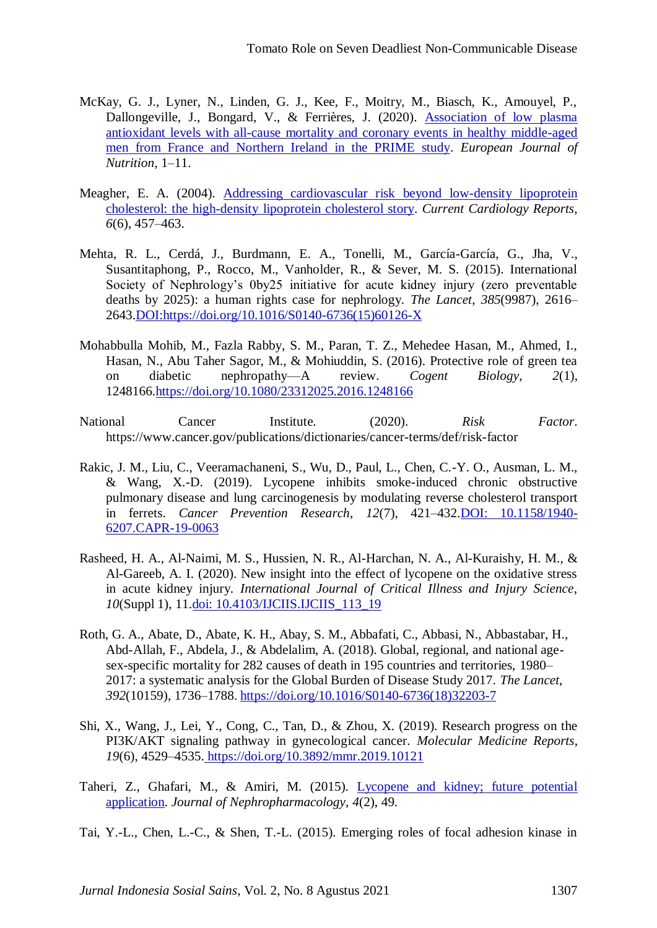- <span id="page-12-0"></span>McKay, G. J., Lyner, N., Linden, G. J., Kee, F., Moitry, M., Biasch, K., Amouyel, P., Dallongeville, J., Bongard, V., & Ferrières, J. (2020). [Association of low plasma](https://scholar.google.com/scholar?hl=id&as_sdt=0%2C5&q=McKay%2C+G.+J.%2C+Lyner%2C+N.%2C+Linden%2C+G.+J.%2C+Kee%2C+F.%2C+Moitry%2C+M.%2C+Biasch%2C+K.%2C+Amouyel%2C+P.%2C+Dallongeville%2C+J.%2C+Bongard%2C+V.%2C+%26+Ferri%C3%A8res%2C+J.+%282020%29.+Association+of+low+plasma+antioxidant+levels+with+all-cause+mortality+and+coronary+events+in+healthy+middle-aged+men+from+France+and+Northern+Ireland+in+the+PRIME+study.+European+Journal+of+Nutrition%2C+1%E2%80%9311.&btnG=)  [antioxidant levels with all-cause mortality and coronary events in healthy middle-aged](https://scholar.google.com/scholar?hl=id&as_sdt=0%2C5&q=McKay%2C+G.+J.%2C+Lyner%2C+N.%2C+Linden%2C+G.+J.%2C+Kee%2C+F.%2C+Moitry%2C+M.%2C+Biasch%2C+K.%2C+Amouyel%2C+P.%2C+Dallongeville%2C+J.%2C+Bongard%2C+V.%2C+%26+Ferri%C3%A8res%2C+J.+%282020%29.+Association+of+low+plasma+antioxidant+levels+with+all-cause+mortality+and+coronary+events+in+healthy+middle-aged+men+from+France+and+Northern+Ireland+in+the+PRIME+study.+European+Journal+of+Nutrition%2C+1%E2%80%9311.&btnG=)  [men from France and Northern Ireland in the PRIME study.](https://scholar.google.com/scholar?hl=id&as_sdt=0%2C5&q=McKay%2C+G.+J.%2C+Lyner%2C+N.%2C+Linden%2C+G.+J.%2C+Kee%2C+F.%2C+Moitry%2C+M.%2C+Biasch%2C+K.%2C+Amouyel%2C+P.%2C+Dallongeville%2C+J.%2C+Bongard%2C+V.%2C+%26+Ferri%C3%A8res%2C+J.+%282020%29.+Association+of+low+plasma+antioxidant+levels+with+all-cause+mortality+and+coronary+events+in+healthy+middle-aged+men+from+France+and+Northern+Ireland+in+the+PRIME+study.+European+Journal+of+Nutrition%2C+1%E2%80%9311.&btnG=) *European Journal of Nutrition*, 1–11.
- <span id="page-12-5"></span>Meagher, E. A. (2004). [Addressing cardiovascular risk beyond low-density lipoprotein](https://scholar.google.com/scholar?hl=id&as_sdt=0%2C5&q=Meagher%2C+E.+A.+%282004%29.+Addressing+cardiovascular+risk+beyond+low-density+lipoprotein+cholesterol%3A+the+high-density+lipoprotein+cholesterol+story.+Current+Cardiology+Reports%2C+6%286%29%2C+457%E2%80%93463.&btnG=)  [cholesterol: the high-density lipoprotein cholesterol story.](https://scholar.google.com/scholar?hl=id&as_sdt=0%2C5&q=Meagher%2C+E.+A.+%282004%29.+Addressing+cardiovascular+risk+beyond+low-density+lipoprotein+cholesterol%3A+the+high-density+lipoprotein+cholesterol+story.+Current+Cardiology+Reports%2C+6%286%29%2C+457%E2%80%93463.&btnG=) *Current Cardiology Reports*, *6*(6), 457–463.
- <span id="page-12-7"></span>Mehta, R. L., Cerdá, J., Burdmann, E. A., Tonelli, M., García-García, G., Jha, V., Susantitaphong, P., Rocco, M., Vanholder, R., & Sever, M. S. (2015). International Society of Nephrology's 0by25 initiative for acute kidney injury (zero preventable deaths by 2025): a human rights case for nephrology. *The Lancet*, *385*(9987), 2616– 2643[.DOI:https://doi.org/10.1016/S0140-6736\(15\)60126-X](doi:https://doi.org/10.1016/S0140-6736(15)60126-X)
- <span id="page-12-4"></span>Mohabbulla Mohib, M., Fazla Rabby, S. M., Paran, T. Z., Mehedee Hasan, M., Ahmed, I., Hasan, N., Abu Taher Sagor, M., & Mohiuddin, S. (2016). Protective role of green tea on diabetic nephropathy—A review. *Cogent Biology*, *2*(1), 1248166[.https://doi.org/10.1080/23312025.2016.1248166](https://doi.org/10.1080/23312025.2016.1248166)
- National Cancer Institute. (2020). *Risk Factor*. https://www.cancer.gov/publications/dictionaries/cancer-terms/def/risk-factor
- <span id="page-12-1"></span>Rakic, J. M., Liu, C., Veeramachaneni, S., Wu, D., Paul, L., Chen, C.-Y. O., Ausman, L. M., & Wang, X.-D. (2019). Lycopene inhibits smoke-induced chronic obstructive pulmonary disease and lung carcinogenesis by modulating reverse cholesterol transport in ferrets. *Cancer Prevention Research*, *12*(7), 421–432[.DOI: 10.1158/1940-](doi:%2010.1158/1940-6207.CAPR-19-0063) [6207.CAPR-19-0063](doi:%2010.1158/1940-6207.CAPR-19-0063)
- <span id="page-12-8"></span>Rasheed, H. A., Al-Naimi, M. S., Hussien, N. R., Al-Harchan, N. A., Al-Kuraishy, H. M., & Al-Gareeb, A. I. (2020). New insight into the effect of lycopene on the oxidative stress in acute kidney injury. *International Journal of Critical Illness and Injury Science*, *10*(Suppl 1), 11[.doi: 10.4103/IJCIIS.IJCIIS\\_113\\_19](doi:%2010.4103/IJCIIS.IJCIIS_113_19)
- <span id="page-12-6"></span>Roth, G. A., Abate, D., Abate, K. H., Abay, S. M., Abbafati, C., Abbasi, N., Abbastabar, H., Abd-Allah, F., Abdela, J., & Abdelalim, A. (2018). Global, regional, and national agesex-specific mortality for 282 causes of death in 195 countries and territories, 1980– 2017: a systematic analysis for the Global Burden of Disease Study 2017. *The Lancet*, *392*(10159), 1736–1788. [https://doi.org/10.1016/S0140-6736\(18\)32203-7](https://doi.org/10.1016/S0140-6736(18)32203-7)
- <span id="page-12-2"></span>Shi, X., Wang, J., Lei, Y., Cong, C., Tan, D., & Zhou, X. (2019). Research progress on the PI3K/AKT signaling pathway in gynecological cancer. *Molecular Medicine Reports*, *19*(6), 4529–4535. <https://doi.org/10.3892/mmr.2019.10121>
- <span id="page-12-9"></span>Taheri, Z., Ghafari, M., & Amiri, M. (2015). [Lycopene and kidney; future potential](https://scholar.google.com/scholar?hl=id&as_sdt=0%2C5&q=Taheri%2C+Z.%2C+Ghafari%2C+M.%2C+%26+Amiri%2C+M.+%282015%29.+Lycopene+and+kidney%3B+future+potential+application.+Journal+of+Nephropharmacology%2C+4%282%29%2C+49.&btnG=)  [application.](https://scholar.google.com/scholar?hl=id&as_sdt=0%2C5&q=Taheri%2C+Z.%2C+Ghafari%2C+M.%2C+%26+Amiri%2C+M.+%282015%29.+Lycopene+and+kidney%3B+future+potential+application.+Journal+of+Nephropharmacology%2C+4%282%29%2C+49.&btnG=) *Journal of Nephropharmacology*, *4*(2), 49.
- <span id="page-12-3"></span>Tai, Y.-L., Chen, L.-C., & Shen, T.-L. (2015). Emerging roles of focal adhesion kinase in